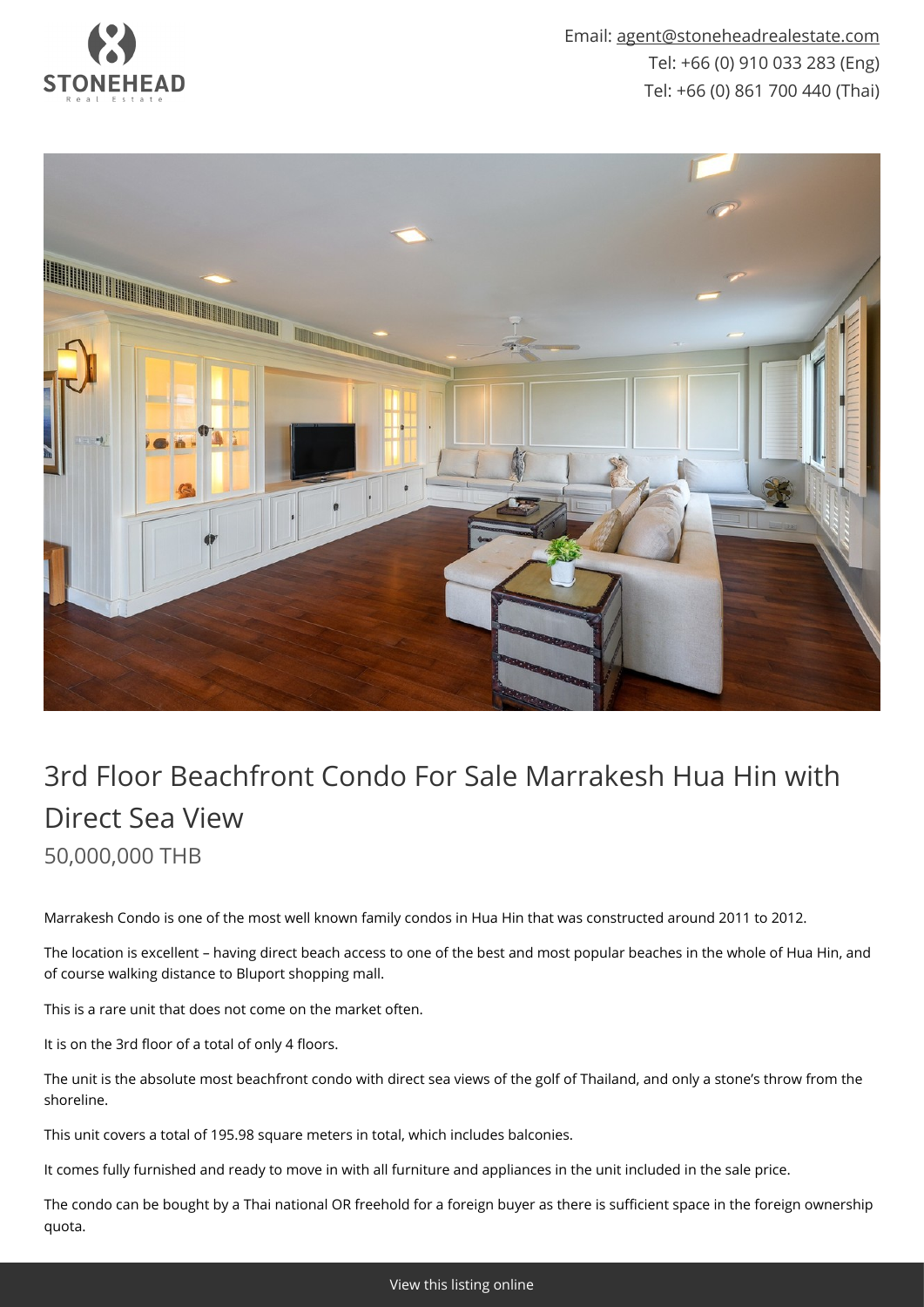

Email: [agent@stoneheadrealestate.com](mailto:agent@stoneheadrealestate.com) Tel: +66 (0) 910 033 283 (Eng) Tel: +66 (0) 861 700 440 (Thai)



## 3rd Floor Beachfront Condo For Sale Marrakesh Hua Hin with Direct Sea View 50,000,000 THB

Marrakesh Condo is one of the most well known family condos in Hua Hin that was constructed around 2011 to 2012.

The location is excellent – having direct beach access to one of the best and most popular beaches in the whole of Hua Hin, and of course walking distance to Bluport shopping mall.

This is a rare unit that does not come on the market often.

It is on the 3rd floor of a total of only 4 floors.

The unit is the absolute most beachfront condo with direct sea views of the golf of Thailand, and only a stone's throw from the shoreline.

This unit covers a total of 195.98 square meters in total, which includes balconies.

It comes fully furnished and ready to move in with all furniture and appliances in the unit included in the sale price.

The condo can be bought by a Thai national OR freehold for a foreign buyer as there is sufficient space in the foreign ownership quota.